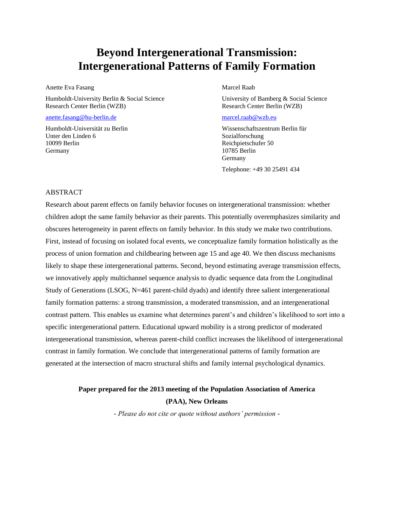## **Beyond Intergenerational Transmission: Intergenerational Patterns of Family Formation**

Anette Eva Fasang

Humboldt-University Berlin & Social Science Research Center Berlin (WZB)

[anette.fasang@hu-berlin.de](mailto:anette.fasang@hu-berlin.de)

Humboldt-Universität zu Berlin Unter den Linden 6 10099 Berlin Germany

Marcel Raab

University of Bamberg & Social Science Research Center Berlin (WZB)

#### [marcel.raab@wzb.eu](mailto:marcel.raab@wzb.eu)

Wissenschaftszentrum Berlin für Sozialforschung Reichpietschufer 50 10785 Berlin Germany Telephone: +49 30 25491 434

### ABSTRACT

Research about parent effects on family behavior focuses on intergenerational transmission: whether children adopt the same family behavior as their parents. This potentially overemphasizes similarity and obscures heterogeneity in parent effects on family behavior. In this study we make two contributions. First, instead of focusing on isolated focal events, we conceptualize family formation holistically as the process of union formation and childbearing between age 15 and age 40. We then discuss mechanisms likely to shape these intergenerational patterns. Second, beyond estimating average transmission effects, we innovatively apply multichannel sequence analysis to dyadic sequence data from the Longitudinal Study of Generations (LSOG, N=461 parent-child dyads) and identify three salient intergenerational family formation patterns: a strong transmission, a moderated transmission, and an intergenerational contrast pattern. This enables us examine what determines parent's and children's likelihood to sort into a specific intergenerational pattern. Educational upward mobility is a strong predictor of moderated intergenerational transmission, whereas parent-child conflict increases the likelihood of intergenerational contrast in family formation. We conclude that intergenerational patterns of family formation are generated at the intersection of macro structural shifts and family internal psychological dynamics.

### **Paper prepared for the 2013 meeting of the Population Association of America (PAA), New Orleans**

*- Please do not cite or quote without authors' permission -*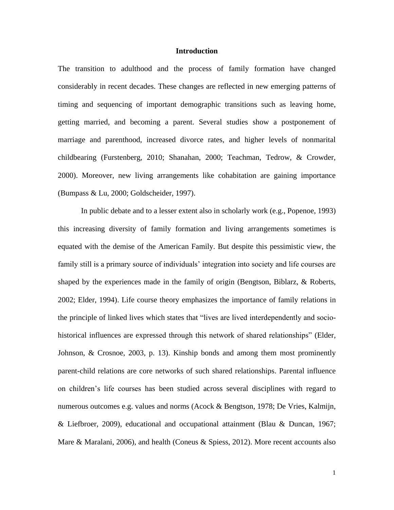### **Introduction**

The transition to adulthood and the process of family formation have changed considerably in recent decades. These changes are reflected in new emerging patterns of timing and sequencing of important demographic transitions such as leaving home, getting married, and becoming a parent. Several studies show a postponement of marriage and parenthood, increased divorce rates, and higher levels of nonmarital childbearing (Furstenberg, 2010; Shanahan, 2000; Teachman, Tedrow, & Crowder, 2000). Moreover, new living arrangements like cohabitation are gaining importance (Bumpass & Lu, 2000; Goldscheider, 1997).

In public debate and to a lesser extent also in scholarly work (e.g., Popenoe, 1993) this increasing diversity of family formation and living arrangements sometimes is equated with the demise of the American Family. But despite this pessimistic view, the family still is a primary source of individuals' integration into society and life courses are shaped by the experiences made in the family of origin (Bengtson, Biblarz, & Roberts, 2002; Elder, 1994). Life course theory emphasizes the importance of family relations in the principle of linked lives which states that "lives are lived interdependently and sociohistorical influences are expressed through this network of shared relationships" (Elder, Johnson, & Crosnoe, 2003, p. 13). Kinship bonds and among them most prominently parent-child relations are core networks of such shared relationships. Parental influence on children's life courses has been studied across several disciplines with regard to numerous outcomes e.g. values and norms (Acock & Bengtson, 1978; De Vries, Kalmijn, & Liefbroer, 2009), educational and occupational attainment (Blau & Duncan, 1967; Mare & Maralani, 2006), and health (Coneus & Spiess, 2012). More recent accounts also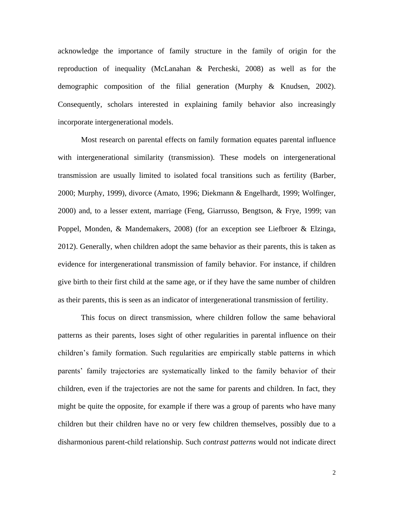acknowledge the importance of family structure in the family of origin for the reproduction of inequality (McLanahan & Percheski, 2008) as well as for the demographic composition of the filial generation (Murphy & Knudsen, 2002). Consequently, scholars interested in explaining family behavior also increasingly incorporate intergenerational models.

Most research on parental effects on family formation equates parental influence with intergenerational similarity (transmission). These models on intergenerational transmission are usually limited to isolated focal transitions such as fertility (Barber, 2000; Murphy, 1999), divorce (Amato, 1996; Diekmann & Engelhardt, 1999; Wolfinger, 2000) and, to a lesser extent, marriage (Feng, Giarrusso, Bengtson, & Frye, 1999; van Poppel, Monden, & Mandemakers, 2008) (for an exception see Liefbroer & Elzinga, 2012). Generally, when children adopt the same behavior as their parents, this is taken as evidence for intergenerational transmission of family behavior. For instance, if children give birth to their first child at the same age, or if they have the same number of children as their parents, this is seen as an indicator of intergenerational transmission of fertility.

This focus on direct transmission, where children follow the same behavioral patterns as their parents, loses sight of other regularities in parental influence on their children's family formation. Such regularities are empirically stable patterns in which parents' family trajectories are systematically linked to the family behavior of their children, even if the trajectories are not the same for parents and children. In fact, they might be quite the opposite, for example if there was a group of parents who have many children but their children have no or very few children themselves, possibly due to a disharmonious parent-child relationship. Such *contrast patterns* would not indicate direct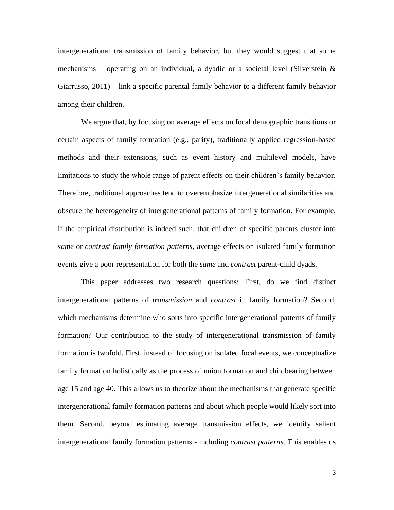intergenerational transmission of family behavior, but they would suggest that some mechanisms – operating on an individual, a dyadic or a societal level (Silverstein  $\&$ Giarrusso, 2011) – link a specific parental family behavior to a different family behavior among their children.

We argue that, by focusing on average effects on focal demographic transitions or certain aspects of family formation (e.g., parity), traditionally applied regression-based methods and their extensions, such as event history and multilevel models, have limitations to study the whole range of parent effects on their children's family behavior. Therefore, traditional approaches tend to overemphasize intergenerational similarities and obscure the heterogeneity of intergenerational patterns of family formation. For example, if the empirical distribution is indeed such, that children of specific parents cluster into *same* or *contrast family formation patterns*, average effects on isolated family formation events give a poor representation for both the *same* and *contrast* parent-child dyads.

This paper addresses two research questions: First, do we find distinct intergenerational patterns of *transmission* and *contrast* in family formation? Second, which mechanisms determine who sorts into specific intergenerational patterns of family formation? Our contribution to the study of intergenerational transmission of family formation is twofold. First, instead of focusing on isolated focal events, we conceptualize family formation holistically as the process of union formation and childbearing between age 15 and age 40. This allows us to theorize about the mechanisms that generate specific intergenerational family formation patterns and about which people would likely sort into them. Second, beyond estimating average transmission effects, we identify salient intergenerational family formation patterns - including *contrast patterns*. This enables us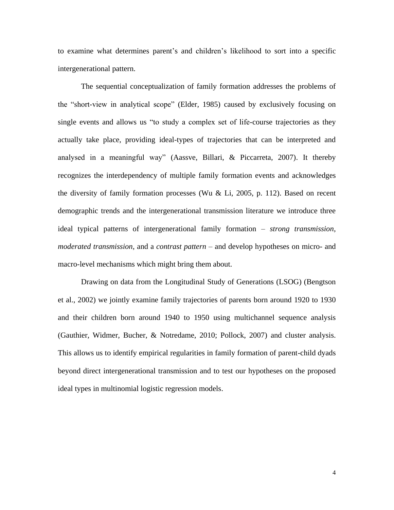to examine what determines parent's and children's likelihood to sort into a specific intergenerational pattern.

The sequential conceptualization of family formation addresses the problems of the "short-view in analytical scope" (Elder, 1985) caused by exclusively focusing on single events and allows us "to study a complex set of life-course trajectories as they actually take place, providing ideal-types of trajectories that can be interpreted and analysed in a meaningful way" (Aassve, Billari, & Piccarreta, 2007). It thereby recognizes the interdependency of multiple family formation events and acknowledges the diversity of family formation processes (Wu  $& Li$ , 2005, p. 112). Based on recent demographic trends and the intergenerational transmission literature we introduce three ideal typical patterns of intergenerational family formation – *strong transmission*, *moderated transmission*, and a *contrast pattern* – and develop hypotheses on micro- and macro-level mechanisms which might bring them about.

Drawing on data from the Longitudinal Study of Generations (LSOG) (Bengtson et al., 2002) we jointly examine family trajectories of parents born around 1920 to 1930 and their children born around 1940 to 1950 using multichannel sequence analysis (Gauthier, Widmer, Bucher, & Notredame, 2010; Pollock, 2007) and cluster analysis. This allows us to identify empirical regularities in family formation of parent-child dyads beyond direct intergenerational transmission and to test our hypotheses on the proposed ideal types in multinomial logistic regression models.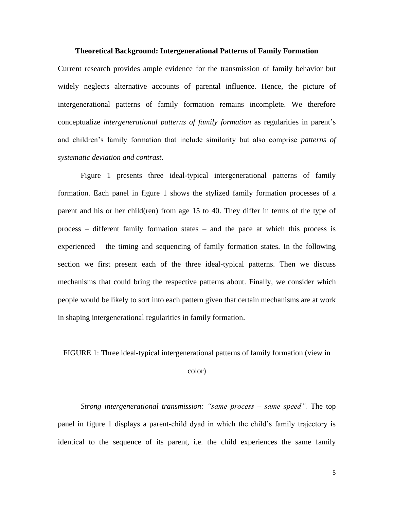#### **Theoretical Background: Intergenerational Patterns of Family Formation**

Current research provides ample evidence for the transmission of family behavior but widely neglects alternative accounts of parental influence. Hence, the picture of intergenerational patterns of family formation remains incomplete. We therefore conceptualize *intergenerational patterns of family formation* as regularities in parent's and children's family formation that include similarity but also comprise *patterns of systematic deviation and contrast*.

Figure 1 presents three ideal-typical intergenerational patterns of family formation. Each panel in figure 1 shows the stylized family formation processes of a parent and his or her child(ren) from age 15 to 40. They differ in terms of the type of process – different family formation states – and the pace at which this process is experienced – the timing and sequencing of family formation states. In the following section we first present each of the three ideal-typical patterns. Then we discuss mechanisms that could bring the respective patterns about. Finally, we consider which people would be likely to sort into each pattern given that certain mechanisms are at work in shaping intergenerational regularities in family formation.

FIGURE 1: Three ideal-typical intergenerational patterns of family formation (view in

color)

*Strong intergenerational transmission: "same process – same speed".* The top panel in figure 1 displays a parent-child dyad in which the child's family trajectory is identical to the sequence of its parent, i.e. the child experiences the same family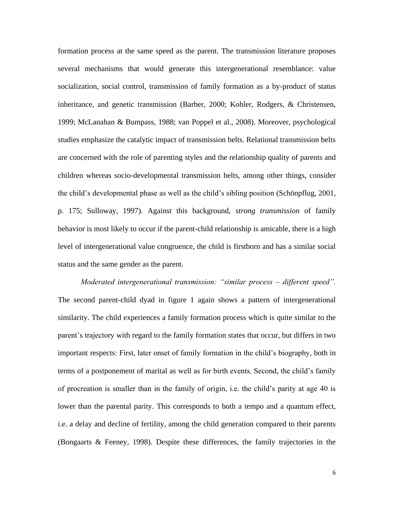formation process at the same speed as the parent. The transmission literature proposes several mechanisms that would generate this intergenerational resemblance: value socialization, social control, transmission of family formation as a by-product of status inheritance, and genetic transmission (Barber, 2000; Kohler, Rodgers, & Christensen, 1999; McLanahan & Bumpass, 1988; van Poppel et al., 2008). Moreover, psychological studies emphasize the catalytic impact of transmission belts. Relational transmission belts are concerned with the role of parenting styles and the relationship quality of parents and children whereas socio-developmental transmission belts, among other things, consider the child's developmental phase as well as the child's sibling position (Schönpflug, 2001, p. 175; Sulloway, 1997). Against this background, *strong transmission* of family behavior is most likely to occur if the parent-child relationship is amicable, there is a high level of intergenerational value congruence, the child is firstborn and has a similar social status and the same gender as the parent.

*Moderated intergenerational transmission: "similar process – different speed".* The second parent-child dyad in figure 1 again shows a pattern of intergenerational similarity. The child experiences a family formation process which is quite similar to the parent's trajectory with regard to the family formation states that occur, but differs in two important respects: First, later onset of family formation in the child's biography, both in terms of a postponement of marital as well as for birth events. Second, the child's family of procreation is smaller than in the family of origin, i.e. the child's parity at age 40 is lower than the parental parity. This corresponds to both a tempo and a quantum effect, i.e. a delay and decline of fertility, among the child generation compared to their parents (Bongaarts & Feeney, 1998). Despite these differences, the family trajectories in the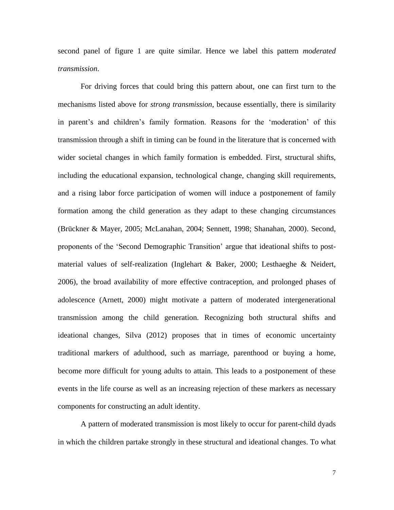second panel of figure 1 are quite similar. Hence we label this pattern *moderated transmission*.

For driving forces that could bring this pattern about, one can first turn to the mechanisms listed above for *strong transmission*, because essentially, there is similarity in parent's and children's family formation. Reasons for the 'moderation' of this transmission through a shift in timing can be found in the literature that is concerned with wider societal changes in which family formation is embedded. First, structural shifts, including the educational expansion, technological change, changing skill requirements, and a rising labor force participation of women will induce a postponement of family formation among the child generation as they adapt to these changing circumstances (Brückner & Mayer, 2005; McLanahan, 2004; Sennett, 1998; Shanahan, 2000). Second, proponents of the 'Second Demographic Transition' argue that ideational shifts to postmaterial values of self-realization (Inglehart & Baker, 2000; Lesthaeghe & Neidert, 2006), the broad availability of more effective contraception, and prolonged phases of adolescence (Arnett, 2000) might motivate a pattern of moderated intergenerational transmission among the child generation. Recognizing both structural shifts and ideational changes, Silva (2012) proposes that in times of economic uncertainty traditional markers of adulthood, such as marriage, parenthood or buying a home, become more difficult for young adults to attain. This leads to a postponement of these events in the life course as well as an increasing rejection of these markers as necessary components for constructing an adult identity.

A pattern of moderated transmission is most likely to occur for parent-child dyads in which the children partake strongly in these structural and ideational changes. To what

7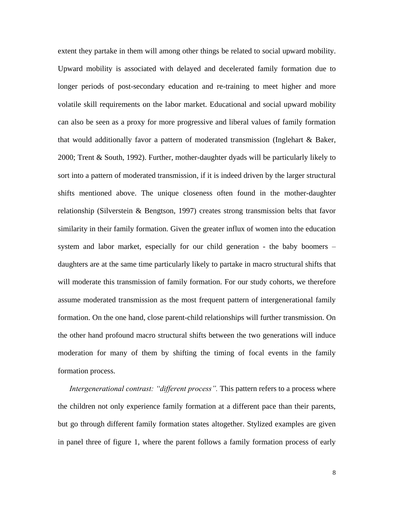extent they partake in them will among other things be related to social upward mobility. Upward mobility is associated with delayed and decelerated family formation due to longer periods of post-secondary education and re-training to meet higher and more volatile skill requirements on the labor market. Educational and social upward mobility can also be seen as a proxy for more progressive and liberal values of family formation that would additionally favor a pattern of moderated transmission (Inglehart & Baker, 2000; Trent & South, 1992). Further, mother-daughter dyads will be particularly likely to sort into a pattern of moderated transmission, if it is indeed driven by the larger structural shifts mentioned above. The unique closeness often found in the mother-daughter relationship (Silverstein & Bengtson, 1997) creates strong transmission belts that favor similarity in their family formation. Given the greater influx of women into the education system and labor market, especially for our child generation - the baby boomers – daughters are at the same time particularly likely to partake in macro structural shifts that will moderate this transmission of family formation. For our study cohorts, we therefore assume moderated transmission as the most frequent pattern of intergenerational family formation. On the one hand, close parent-child relationships will further transmission. On the other hand profound macro structural shifts between the two generations will induce moderation for many of them by shifting the timing of focal events in the family formation process.

*Intergenerational contrast: "different process"*. This pattern refers to a process where the children not only experience family formation at a different pace than their parents, but go through different family formation states altogether. Stylized examples are given in panel three of figure 1, where the parent follows a family formation process of early

8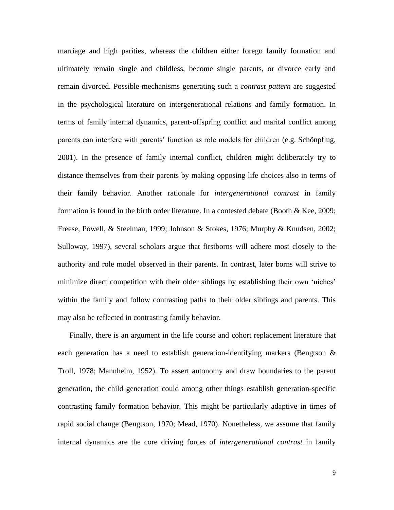marriage and high parities, whereas the children either forego family formation and ultimately remain single and childless, become single parents, or divorce early and remain divorced. Possible mechanisms generating such a *contrast pattern* are suggested in the psychological literature on intergenerational relations and family formation. In terms of family internal dynamics, parent-offspring conflict and marital conflict among parents can interfere with parents' function as role models for children (e.g. Schönpflug, 2001). In the presence of family internal conflict, children might deliberately try to distance themselves from their parents by making opposing life choices also in terms of their family behavior. Another rationale for *intergenerational contrast* in family formation is found in the birth order literature. In a contested debate (Booth & Kee, 2009; Freese, Powell, & Steelman, 1999; Johnson & Stokes, 1976; Murphy & Knudsen, 2002; Sulloway, 1997), several scholars argue that firstborns will adhere most closely to the authority and role model observed in their parents. In contrast, later borns will strive to minimize direct competition with their older siblings by establishing their own 'niches' within the family and follow contrasting paths to their older siblings and parents. This may also be reflected in contrasting family behavior.

Finally, there is an argument in the life course and cohort replacement literature that each generation has a need to establish generation-identifying markers (Bengtson & Troll, 1978; Mannheim, 1952). To assert autonomy and draw boundaries to the parent generation, the child generation could among other things establish generation-specific contrasting family formation behavior. This might be particularly adaptive in times of rapid social change (Bengtson, 1970; Mead, 1970). Nonetheless, we assume that family internal dynamics are the core driving forces of *intergenerational contrast* in family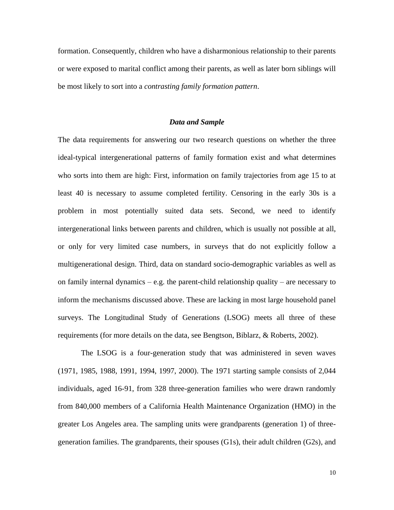formation. Consequently, children who have a disharmonious relationship to their parents or were exposed to marital conflict among their parents, as well as later born siblings will be most likely to sort into a *contrasting family formation pattern*.

### *Data and Sample*

The data requirements for answering our two research questions on whether the three ideal-typical intergenerational patterns of family formation exist and what determines who sorts into them are high: First, information on family trajectories from age 15 to at least 40 is necessary to assume completed fertility. Censoring in the early 30s is a problem in most potentially suited data sets. Second, we need to identify intergenerational links between parents and children, which is usually not possible at all, or only for very limited case numbers, in surveys that do not explicitly follow a multigenerational design. Third, data on standard socio-demographic variables as well as on family internal dynamics – e.g. the parent-child relationship quality – are necessary to inform the mechanisms discussed above. These are lacking in most large household panel surveys. The Longitudinal Study of Generations (LSOG) meets all three of these requirements (for more details on the data, see Bengtson, Biblarz, & Roberts, 2002).

The LSOG is a four-generation study that was administered in seven waves (1971, 1985, 1988, 1991, 1994, 1997, 2000). The 1971 starting sample consists of 2,044 individuals, aged 16-91, from 328 three-generation families who were drawn randomly from 840,000 members of a California Health Maintenance Organization (HMO) in the greater Los Angeles area. The sampling units were grandparents (generation 1) of threegeneration families. The grandparents, their spouses (G1s), their adult children (G2s), and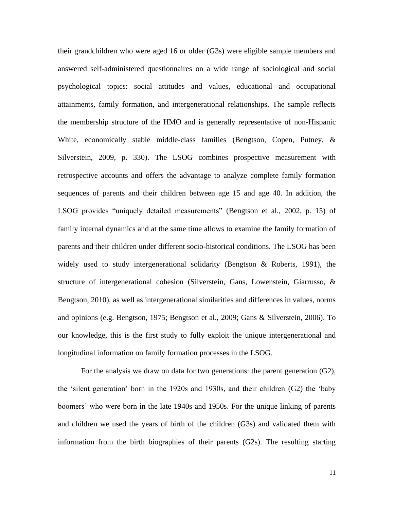their grandchildren who were aged 16 or older (G3s) were eligible sample members and answered self-administered questionnaires on a wide range of sociological and social psychological topics: social attitudes and values, educational and occupational attainments, family formation, and intergenerational relationships. The sample reflects the membership structure of the HMO and is generally representative of non-Hispanic White, economically stable middle-class families (Bengtson, Copen, Putney, & Silverstein, 2009, p. 330). The LSOG combines prospective measurement with retrospective accounts and offers the advantage to analyze complete family formation sequences of parents and their children between age 15 and age 40. In addition, the LSOG provides "uniquely detailed measurements" (Bengtson et al., 2002, p. 15) of family internal dynamics and at the same time allows to examine the family formation of parents and their children under different socio-historical conditions. The LSOG has been widely used to study intergenerational solidarity (Bengtson & Roberts, 1991), the structure of intergenerational cohesion (Silverstein, Gans, Lowenstein, Giarrusso, & Bengtson, 2010), as well as intergenerational similarities and differences in values, norms and opinions (e.g. Bengtson, 1975; Bengtson et al., 2009; Gans & Silverstein, 2006). To our knowledge, this is the first study to fully exploit the unique intergenerational and longitudinal information on family formation processes in the LSOG.

For the analysis we draw on data for two generations: the parent generation (G2), the 'silent generation' born in the 1920s and 1930s, and their children (G2) the 'baby boomers' who were born in the late 1940s and 1950s. For the unique linking of parents and children we used the years of birth of the children (G3s) and validated them with information from the birth biographies of their parents (G2s). The resulting starting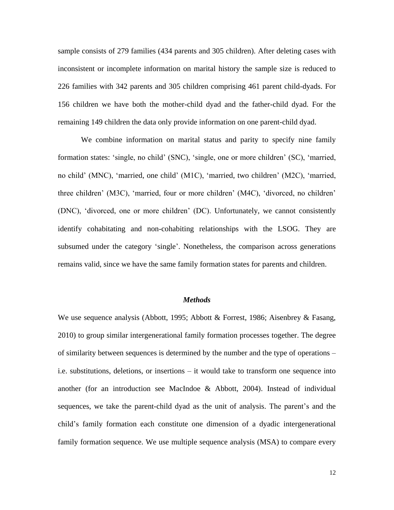sample consists of 279 families (434 parents and 305 children). After deleting cases with inconsistent or incomplete information on marital history the sample size is reduced to 226 families with 342 parents and 305 children comprising 461 parent child-dyads. For 156 children we have both the mother-child dyad and the father-child dyad. For the remaining 149 children the data only provide information on one parent-child dyad.

We combine information on marital status and parity to specify nine family formation states: 'single, no child' (SNC), 'single, one or more children' (SC), 'married, no child' (MNC), 'married, one child' (M1C), 'married, two children' (M2C), 'married, three children' (M3C), 'married, four or more children' (M4C), 'divorced, no children' (DNC), 'divorced, one or more children' (DC). Unfortunately, we cannot consistently identify cohabitating and non-cohabiting relationships with the LSOG. They are subsumed under the category 'single'. Nonetheless, the comparison across generations remains valid, since we have the same family formation states for parents and children.

### *Methods*

We use sequence analysis (Abbott, 1995; Abbott & Forrest, 1986; Aisenbrey & Fasang, 2010) to group similar intergenerational family formation processes together. The degree of similarity between sequences is determined by the number and the type of operations – i.e. substitutions, deletions, or insertions – it would take to transform one sequence into another (for an introduction see MacIndoe & Abbott, 2004). Instead of individual sequences, we take the parent-child dyad as the unit of analysis. The parent's and the child's family formation each constitute one dimension of a dyadic intergenerational family formation sequence. We use multiple sequence analysis (MSA) to compare every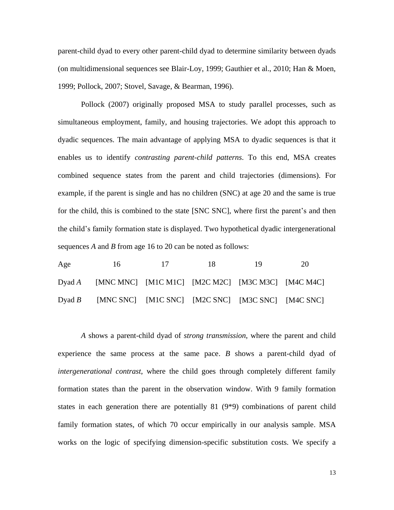parent-child dyad to every other parent-child dyad to determine similarity between dyads (on multidimensional sequences see Blair-Loy, 1999; Gauthier et al., 2010; Han & Moen, 1999; Pollock, 2007; Stovel, Savage, & Bearman, 1996).

Pollock (2007) originally proposed MSA to study parallel processes, such as simultaneous employment, family, and housing trajectories. We adopt this approach to dyadic sequences. The main advantage of applying MSA to dyadic sequences is that it enables us to identify *contrasting parent-child patterns*. To this end, MSA creates combined sequence states from the parent and child trajectories (dimensions). For example, if the parent is single and has no children (SNC) at age 20 and the same is true for the child, this is combined to the state [SNC SNC], where first the parent's and then the child's family formation state is displayed. Two hypothetical dyadic intergenerational sequences *A* and *B* from age 16 to 20 can be noted as follows:

| Age | 16                                                       | $\overline{17}$ | - 18 - | -19 | 20 |
|-----|----------------------------------------------------------|-----------------|--------|-----|----|
|     | Dyad A [MNC MNC] [M1C M1C] [M2C M2C] [M3C M3C] [M4C M4C] |                 |        |     |    |
|     | Dyad B [MNC SNC] [M1C SNC] [M2C SNC] [M3C SNC] [M4C SNC] |                 |        |     |    |

*A* shows a parent-child dyad of *strong transmission*, where the parent and child experience the same process at the same pace. *B* shows a parent-child dyad of *intergenerational contrast*, where the child goes through completely different family formation states than the parent in the observation window. With 9 family formation states in each generation there are potentially 81 (9\*9) combinations of parent child family formation states, of which 70 occur empirically in our analysis sample. MSA works on the logic of specifying dimension-specific substitution costs. We specify a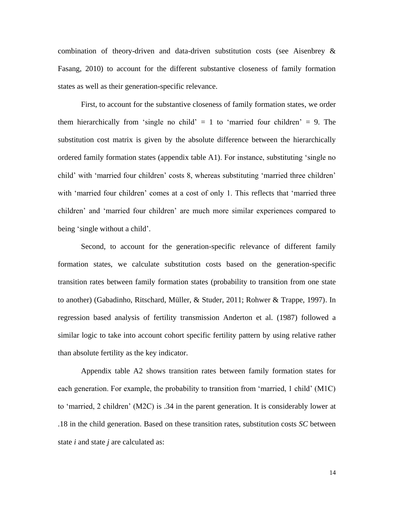combination of theory-driven and data-driven substitution costs (see Aisenbrey & Fasang, 2010) to account for the different substantive closeness of family formation states as well as their generation-specific relevance.

First, to account for the substantive closeness of family formation states, we order them hierarchically from 'single no child'  $= 1$  to 'married four children'  $= 9$ . The substitution cost matrix is given by the absolute difference between the hierarchically ordered family formation states (appendix table A1). For instance, substituting 'single no child' with 'married four children' costs 8, whereas substituting 'married three children' with 'married four children' comes at a cost of only 1. This reflects that 'married three children' and 'married four children' are much more similar experiences compared to being 'single without a child'.

Second, to account for the generation-specific relevance of different family formation states, we calculate substitution costs based on the generation-specific transition rates between family formation states (probability to transition from one state to another) (Gabadinho, Ritschard, Müller, & Studer, 2011; Rohwer & Trappe, 1997). In regression based analysis of fertility transmission Anderton et al. (1987) followed a similar logic to take into account cohort specific fertility pattern by using relative rather than absolute fertility as the key indicator.

Appendix table A2 shows transition rates between family formation states for each generation. For example, the probability to transition from 'married, 1 child' (M1C) to 'married, 2 children' (M2C) is .34 in the parent generation. It is considerably lower at .18 in the child generation. Based on these transition rates, substitution costs *SC* between state *i* and state *j* are calculated as: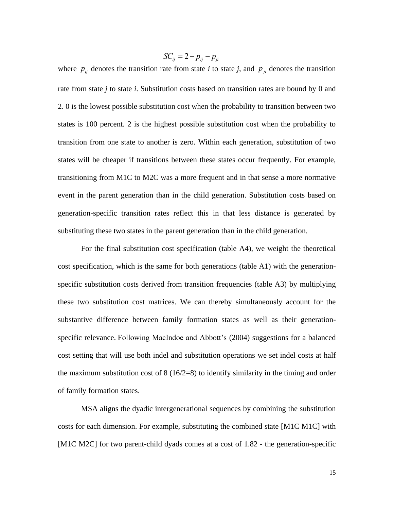$SC_{ij} = 2 - p_{ij} - p_{ji}$ 

where  $p_{ij}$  denotes the transition rate from state *i* to state *j*, and  $p_{ji}$  denotes the transition rate from state *j* to state *i*. Substitution costs based on transition rates are bound by 0 and 2. 0 is the lowest possible substitution cost when the probability to transition between two states is 100 percent. 2 is the highest possible substitution cost when the probability to transition from one state to another is zero. Within each generation, substitution of two states will be cheaper if transitions between these states occur frequently. For example, transitioning from M1C to M2C was a more frequent and in that sense a more normative event in the parent generation than in the child generation. Substitution costs based on generation-specific transition rates reflect this in that less distance is generated by substituting these two states in the parent generation than in the child generation.

For the final substitution cost specification (table A4), we weight the theoretical cost specification, which is the same for both generations (table A1) with the generationspecific substitution costs derived from transition frequencies (table A3) by multiplying these two substitution cost matrices. We can thereby simultaneously account for the substantive difference between family formation states as well as their generationspecific relevance. Following MacIndoe and Abbott's (2004) suggestions for a balanced cost setting that will use both indel and substitution operations we set indel costs at half the maximum substitution cost of  $8(16/2=8)$  to identify similarity in the timing and order of family formation states.

MSA aligns the dyadic intergenerational sequences by combining the substitution costs for each dimension. For example, substituting the combined state [M1C M1C] with [M1C M2C] for two parent-child dyads comes at a cost of 1.82 - the generation-specific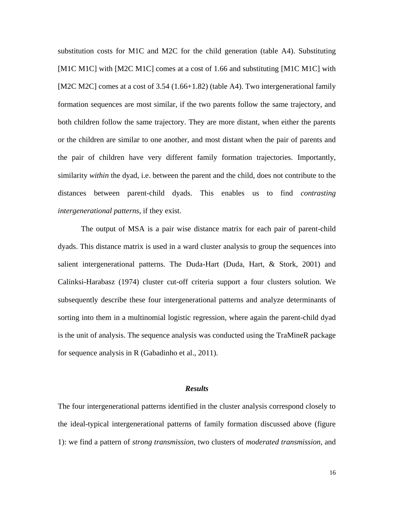substitution costs for M1C and M2C for the child generation (table A4). Substituting [M1C M1C] with [M2C M1C] comes at a cost of 1.66 and substituting [M1C M1C] with [M2C M2C] comes at a cost of 3.54 (1.66+1.82) (table A4). Two intergenerational family formation sequences are most similar, if the two parents follow the same trajectory, and both children follow the same trajectory. They are more distant, when either the parents or the children are similar to one another, and most distant when the pair of parents and the pair of children have very different family formation trajectories. Importantly, similarity *within* the dyad, i.e. between the parent and the child, does not contribute to the distances between parent-child dyads. This enables us to find *contrasting intergenerational patterns*, if they exist.

The output of MSA is a pair wise distance matrix for each pair of parent-child dyads. This distance matrix is used in a ward cluster analysis to group the sequences into salient intergenerational patterns. The Duda-Hart (Duda, Hart, & Stork, 2001) and Calinksi-Harabasz (1974) cluster cut-off criteria support a four clusters solution. We subsequently describe these four intergenerational patterns and analyze determinants of sorting into them in a multinomial logistic regression, where again the parent-child dyad is the unit of analysis. The sequence analysis was conducted using the TraMineR package for sequence analysis in R (Gabadinho et al., 2011).

### *Results*

The four intergenerational patterns identified in the cluster analysis correspond closely to the ideal-typical intergenerational patterns of family formation discussed above (figure 1): we find a pattern of *strong transmission*, two clusters of *moderated transmission*, and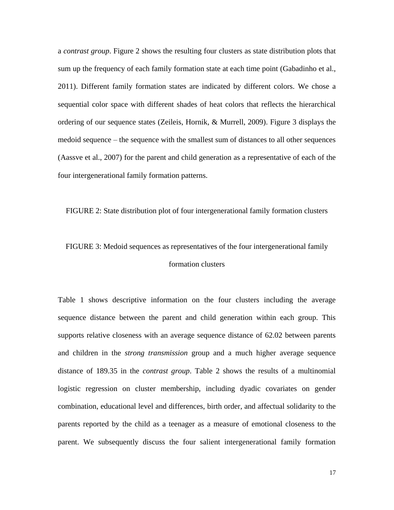a *contrast group*. Figure 2 shows the resulting four clusters as state distribution plots that sum up the frequency of each family formation state at each time point (Gabadinho et al., 2011). Different family formation states are indicated by different colors. We chose a sequential color space with different shades of heat colors that reflects the hierarchical ordering of our sequence states (Zeileis, Hornik, & Murrell, 2009). Figure 3 displays the medoid sequence – the sequence with the smallest sum of distances to all other sequences (Aassve et al., 2007) for the parent and child generation as a representative of each of the four intergenerational family formation patterns.

FIGURE 2: State distribution plot of four intergenerational family formation clusters

## FIGURE 3: Medoid sequences as representatives of the four intergenerational family formation clusters

Table 1 shows descriptive information on the four clusters including the average sequence distance between the parent and child generation within each group. This supports relative closeness with an average sequence distance of 62.02 between parents and children in the *strong transmission* group and a much higher average sequence distance of 189.35 in the *contrast group*. Table 2 shows the results of a multinomial logistic regression on cluster membership, including dyadic covariates on gender combination, educational level and differences, birth order, and affectual solidarity to the parents reported by the child as a teenager as a measure of emotional closeness to the parent. We subsequently discuss the four salient intergenerational family formation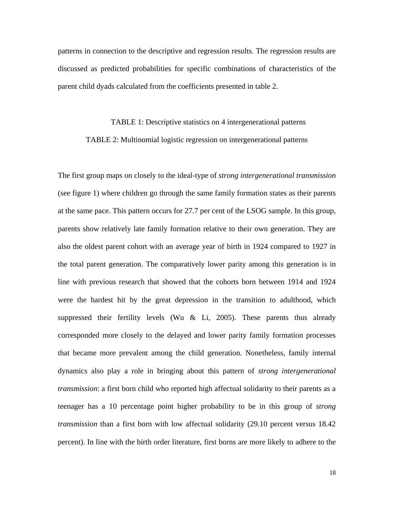patterns in connection to the descriptive and regression results. The regression results are discussed as predicted probabilities for specific combinations of characteristics of the parent child dyads calculated from the coefficients presented in table 2.

# TABLE 1: Descriptive statistics on 4 intergenerational patterns TABLE 2: Multinomial logistic regression on intergenerational patterns

The first group maps on closely to the ideal-type of *strong intergenerational transmission*  (see figure 1) where children go through the same family formation states as their parents at the same pace. This pattern occurs for 27.7 per cent of the LSOG sample. In this group, parents show relatively late family formation relative to their own generation. They are also the oldest parent cohort with an average year of birth in 1924 compared to 1927 in the total parent generation. The comparatively lower parity among this generation is in line with previous research that showed that the cohorts born between 1914 and 1924 were the hardest hit by the great depression in the transition to adulthood, which suppressed their fertility levels (Wu  $&$  Li, 2005). These parents thus already corresponded more closely to the delayed and lower parity family formation processes that became more prevalent among the child generation. Nonetheless, family internal dynamics also play a role in bringing about this pattern of *strong intergenerational transmission*: a first born child who reported high affectual solidarity to their parents as a teenager has a 10 percentage point higher probability to be in this group of *strong transmission* than a first born with low affectual solidarity (29.10 percent versus 18.42 percent). In line with the birth order literature, first borns are more likely to adhere to the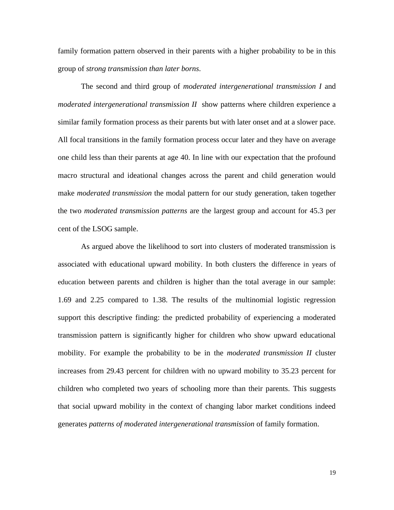family formation pattern observed in their parents with a higher probability to be in this group of *strong transmission than later borns*.

The second and third group of *moderated intergenerational transmission I* and *moderated intergenerational transmission II* show patterns where children experience a similar family formation process as their parents but with later onset and at a slower pace. All focal transitions in the family formation process occur later and they have on average one child less than their parents at age 40. In line with our expectation that the profound macro structural and ideational changes across the parent and child generation would make *moderated transmission* the modal pattern for our study generation, taken together the two *moderated transmission patterns* are the largest group and account for 45.3 per cent of the LSOG sample.

As argued above the likelihood to sort into clusters of moderated transmission is associated with educational upward mobility. In both clusters the difference in years of education between parents and children is higher than the total average in our sample: 1.69 and 2.25 compared to 1.38. The results of the multinomial logistic regression support this descriptive finding: the predicted probability of experiencing a moderated transmission pattern is significantly higher for children who show upward educational mobility. For example the probability to be in the *moderated transmission II* cluster increases from 29.43 percent for children with no upward mobility to 35.23 percent for children who completed two years of schooling more than their parents. This suggests that social upward mobility in the context of changing labor market conditions indeed generates *patterns of moderated intergenerational transmission* of family formation.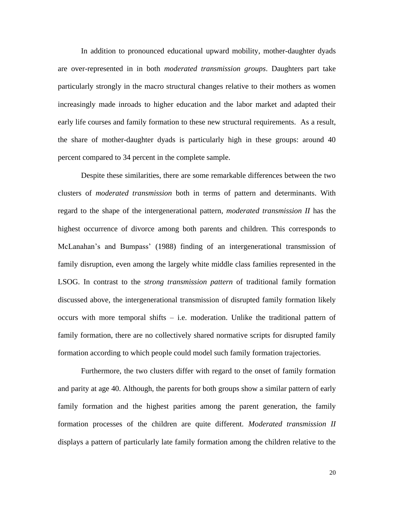In addition to pronounced educational upward mobility, mother-daughter dyads are over-represented in in both *moderated transmission groups*. Daughters part take particularly strongly in the macro structural changes relative to their mothers as women increasingly made inroads to higher education and the labor market and adapted their early life courses and family formation to these new structural requirements. As a result, the share of mother-daughter dyads is particularly high in these groups: around 40 percent compared to 34 percent in the complete sample.

Despite these similarities, there are some remarkable differences between the two clusters of *moderated transmission* both in terms of pattern and determinants. With regard to the shape of the intergenerational pattern, *moderated transmission II* has the highest occurrence of divorce among both parents and children. This corresponds to McLanahan's and Bumpass' (1988) finding of an intergenerational transmission of family disruption, even among the largely white middle class families represented in the LSOG. In contrast to the *strong transmission pattern* of traditional family formation discussed above, the intergenerational transmission of disrupted family formation likely occurs with more temporal shifts – i.e. moderation. Unlike the traditional pattern of family formation, there are no collectively shared normative scripts for disrupted family formation according to which people could model such family formation trajectories.

Furthermore, the two clusters differ with regard to the onset of family formation and parity at age 40. Although, the parents for both groups show a similar pattern of early family formation and the highest parities among the parent generation, the family formation processes of the children are quite different. *Moderated transmission II* displays a pattern of particularly late family formation among the children relative to the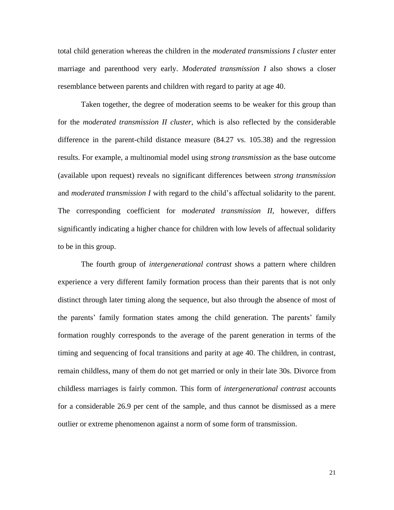total child generation whereas the children in the *moderated transmissions I cluster* enter marriage and parenthood very early. *Moderated transmission I* also shows a closer resemblance between parents and children with regard to parity at age 40.

Taken together, the degree of moderation seems to be weaker for this group than for the *moderated transmission II cluster*, which is also reflected by the considerable difference in the parent-child distance measure (84.27 vs. 105.38) and the regression results. For example, a multinomial model using *strong transmission* as the base outcome (available upon request) reveals no significant differences between *strong transmission* and *moderated transmission I* with regard to the child's affectual solidarity to the parent. The corresponding coefficient for *moderated transmission II*, however, differs significantly indicating a higher chance for children with low levels of affectual solidarity to be in this group.

The fourth group of *intergenerational contrast* shows a pattern where children experience a very different family formation process than their parents that is not only distinct through later timing along the sequence, but also through the absence of most of the parents' family formation states among the child generation. The parents' family formation roughly corresponds to the average of the parent generation in terms of the timing and sequencing of focal transitions and parity at age 40. The children, in contrast, remain childless, many of them do not get married or only in their late 30s. Divorce from childless marriages is fairly common. This form of *intergenerational contrast* accounts for a considerable 26.9 per cent of the sample, and thus cannot be dismissed as a mere outlier or extreme phenomenon against a norm of some form of transmission.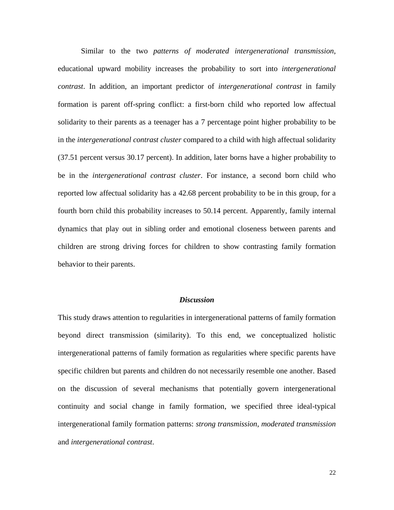Similar to the two *patterns of moderated intergenerational transmission*, educational upward mobility increases the probability to sort into *intergenerational contrast*. In addition, an important predictor of *intergenerational contrast* in family formation is parent off-spring conflict: a first-born child who reported low affectual solidarity to their parents as a teenager has a 7 percentage point higher probability to be in the *intergenerational contrast cluster* compared to a child with high affectual solidarity (37.51 percent versus 30.17 percent). In addition, later borns have a higher probability to be in the *intergenerational contrast cluster*. For instance, a second born child who reported low affectual solidarity has a 42.68 percent probability to be in this group, for a fourth born child this probability increases to 50.14 percent. Apparently, family internal dynamics that play out in sibling order and emotional closeness between parents and children are strong driving forces for children to show contrasting family formation behavior to their parents.

### *Discussion*

This study draws attention to regularities in intergenerational patterns of family formation beyond direct transmission (similarity). To this end, we conceptualized holistic intergenerational patterns of family formation as regularities where specific parents have specific children but parents and children do not necessarily resemble one another. Based on the discussion of several mechanisms that potentially govern intergenerational continuity and social change in family formation, we specified three ideal-typical intergenerational family formation patterns: *strong transmission*, *moderated transmission* and *intergenerational contrast*.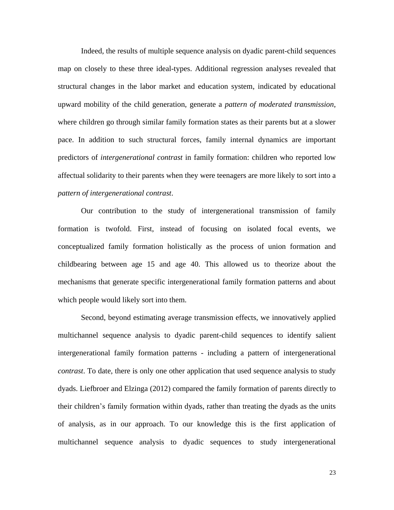Indeed, the results of multiple sequence analysis on dyadic parent-child sequences map on closely to these three ideal-types. Additional regression analyses revealed that structural changes in the labor market and education system, indicated by educational upward mobility of the child generation, generate a *pattern of moderated transmission*, where children go through similar family formation states as their parents but at a slower pace. In addition to such structural forces, family internal dynamics are important predictors of *intergenerational contrast* in family formation: children who reported low affectual solidarity to their parents when they were teenagers are more likely to sort into a *pattern of intergenerational contrast*.

Our contribution to the study of intergenerational transmission of family formation is twofold. First, instead of focusing on isolated focal events, we conceptualized family formation holistically as the process of union formation and childbearing between age 15 and age 40. This allowed us to theorize about the mechanisms that generate specific intergenerational family formation patterns and about which people would likely sort into them.

Second, beyond estimating average transmission effects, we innovatively applied multichannel sequence analysis to dyadic parent-child sequences to identify salient intergenerational family formation patterns - including a pattern of intergenerational *contrast*. To date, there is only one other application that used sequence analysis to study dyads. Liefbroer and Elzinga (2012) compared the family formation of parents directly to their children's family formation within dyads, rather than treating the dyads as the units of analysis, as in our approach. To our knowledge this is the first application of multichannel sequence analysis to dyadic sequences to study intergenerational

23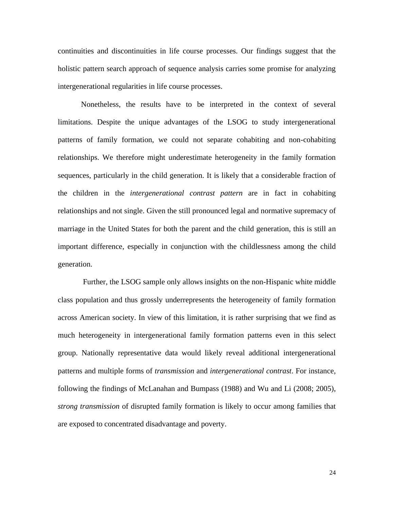continuities and discontinuities in life course processes. Our findings suggest that the holistic pattern search approach of sequence analysis carries some promise for analyzing intergenerational regularities in life course processes.

Nonetheless, the results have to be interpreted in the context of several limitations. Despite the unique advantages of the LSOG to study intergenerational patterns of family formation, we could not separate cohabiting and non-cohabiting relationships. We therefore might underestimate heterogeneity in the family formation sequences, particularly in the child generation. It is likely that a considerable fraction of the children in the *intergenerational contrast pattern* are in fact in cohabiting relationships and not single. Given the still pronounced legal and normative supremacy of marriage in the United States for both the parent and the child generation, this is still an important difference, especially in conjunction with the childlessness among the child generation.

Further, the LSOG sample only allows insights on the non-Hispanic white middle class population and thus grossly underrepresents the heterogeneity of family formation across American society. In view of this limitation, it is rather surprising that we find as much heterogeneity in intergenerational family formation patterns even in this select group. Nationally representative data would likely reveal additional intergenerational patterns and multiple forms of *transmission* and *intergenerational contrast*. For instance, following the findings of McLanahan and Bumpass (1988) and Wu and Li (2008; 2005), *strong transmission* of disrupted family formation is likely to occur among families that are exposed to concentrated disadvantage and poverty.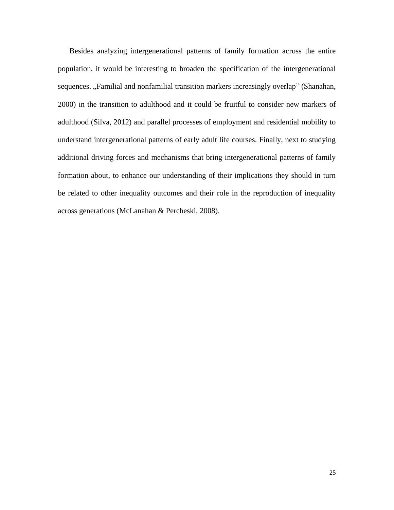Besides analyzing intergenerational patterns of family formation across the entire population, it would be interesting to broaden the specification of the intergenerational sequences. "Familial and nonfamilial transition markers increasingly overlap" (Shanahan, 2000) in the transition to adulthood and it could be fruitful to consider new markers of adulthood (Silva, 2012) and parallel processes of employment and residential mobility to understand intergenerational patterns of early adult life courses. Finally, next to studying additional driving forces and mechanisms that bring intergenerational patterns of family formation about, to enhance our understanding of their implications they should in turn be related to other inequality outcomes and their role in the reproduction of inequality across generations (McLanahan & Percheski, 2008).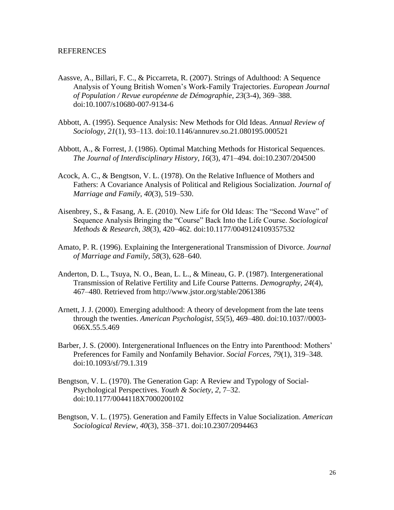### REFERENCES

- Aassve, A., Billari, F. C., & Piccarreta, R. (2007). Strings of Adulthood: A Sequence Analysis of Young British Women's Work-Family Trajectories. *European Journal of Population / Revue européenne de Démographie*, *23*(3-4), 369–388. doi:10.1007/s10680-007-9134-6
- Abbott, A. (1995). Sequence Analysis: New Methods for Old Ideas. *Annual Review of Sociology*, *21*(1), 93–113. doi:10.1146/annurev.so.21.080195.000521
- Abbott, A., & Forrest, J. (1986). Optimal Matching Methods for Historical Sequences. *The Journal of Interdisciplinary History*, *16*(3), 471–494. doi:10.2307/204500
- Acock, A. C., & Bengtson, V. L. (1978). On the Relative Influence of Mothers and Fathers: A Covariance Analysis of Political and Religious Socialization. *Journal of Marriage and Family*, *40*(3), 519–530.
- Aisenbrey, S., & Fasang, A. E. (2010). New Life for Old Ideas: The "Second Wave" of Sequence Analysis Bringing the "Course" Back Into the Life Course. *Sociological Methods & Research*, *38*(3), 420–462. doi:10.1177/0049124109357532
- Amato, P. R. (1996). Explaining the Intergenerational Transmission of Divorce. *Journal of Marriage and Family*, *58*(3), 628–640.
- Anderton, D. L., Tsuya, N. O., Bean, L. L., & Mineau, G. P. (1987). Intergenerational Transmission of Relative Fertility and Life Course Patterns. *Demography*, *24*(4), 467–480. Retrieved from http://www.jstor.org/stable/2061386
- Arnett, J. J. (2000). Emerging adulthood: A theory of development from the late teens through the twenties. *American Psychologist*, *55*(5), 469–480. doi:10.1037//0003- 066X.55.5.469
- Barber, J. S. (2000). Intergenerational Influences on the Entry into Parenthood: Mothers' Preferences for Family and Nonfamily Behavior. *Social Forces*, *79*(1), 319–348. doi:10.1093/sf/79.1.319
- Bengtson, V. L. (1970). The Generation Gap: A Review and Typology of Social-Psychological Perspectives. *Youth & Society*, *2*, 7–32. doi:10.1177/0044118X7000200102
- Bengtson, V. L. (1975). Generation and Family Effects in Value Socialization. *American Sociological Review*, *40*(3), 358–371. doi:10.2307/2094463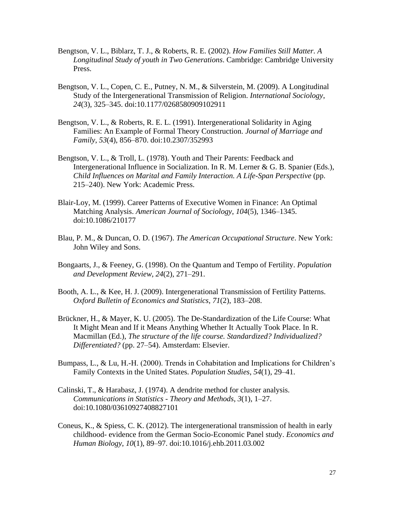- Bengtson, V. L., Biblarz, T. J., & Roberts, R. E. (2002). *How Families Still Matter. A Longitudinal Study of youth in Two Generations*. Cambridge: Cambridge University Press.
- Bengtson, V. L., Copen, C. E., Putney, N. M., & Silverstein, M. (2009). A Longitudinal Study of the Intergenerational Transmission of Religion. *International Sociology*, *24*(3), 325–345. doi:10.1177/0268580909102911
- Bengtson, V. L., & Roberts, R. E. L. (1991). Intergenerational Solidarity in Aging Families: An Example of Formal Theory Construction. *Journal of Marriage and Family*, *53*(4), 856–870. doi:10.2307/352993
- Bengtson, V. L., & Troll, L. (1978). Youth and Their Parents: Feedback and Intergenerational Influence in Socialization. In R. M. Lerner & G. B. Spanier (Eds.), *Child Influences on Marital and Family Interaction. A Life-Span Perspective* (pp. 215–240). New York: Academic Press.
- Blair-Loy, M. (1999). Career Patterns of Executive Women in Finance: An Optimal Matching Analysis. *American Journal of Sociology*, *104*(5), 1346–1345. doi:10.1086/210177
- Blau, P. M., & Duncan, O. D. (1967). *The American Occupational Structure*. New York: John Wiley and Sons.
- Bongaarts, J., & Feeney, G. (1998). On the Quantum and Tempo of Fertility. *Population and Development Review*, *24*(2), 271–291.
- Booth, A. L., & Kee, H. J. (2009). Intergenerational Transmission of Fertility Patterns. *Oxford Bulletin of Economics and Statistics*, *71*(2), 183–208.
- Brückner, H., & Mayer, K. U. (2005). The De-Standardization of the Life Course: What It Might Mean and If it Means Anything Whether It Actually Took Place. In R. Macmillan (Ed.), *The structure of the life course. Standardized? Individualized? Differentiated?* (pp. 27–54). Amsterdam: Elsevier.
- Bumpass, L., & Lu, H.-H. (2000). Trends in Cohabitation and Implications for Children's Family Contexts in the United States. *Population Studies*, *54*(1), 29–41.
- Calinski, T., & Harabasz, J. (1974). A dendrite method for cluster analysis. *Communications in Statistics - Theory and Methods*, *3*(1), 1–27. doi:10.1080/03610927408827101
- Coneus, K., & Spiess, C. K. (2012). The intergenerational transmission of health in early childhood- evidence from the German Socio-Economic Panel study. *Economics and Human Biology*, *10*(1), 89–97. doi:10.1016/j.ehb.2011.03.002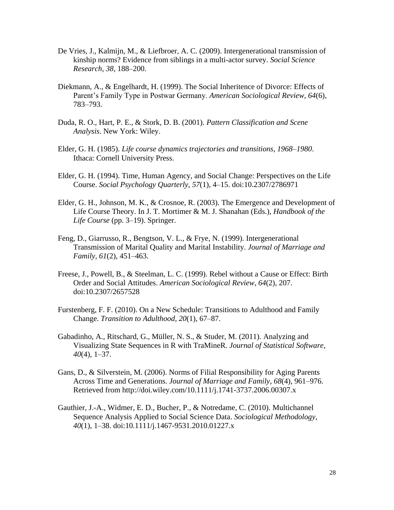- De Vries, J., Kalmijn, M., & Liefbroer, A. C. (2009). Intergenerational transmission of kinship norms? Evidence from siblings in a multi-actor survey. *Social Science Research*, *38*, 188–200.
- Diekmann, A., & Engelhardt, H. (1999). The Social Inheritence of Divorce: Effects of Parent's Family Type in Postwar Germany. *American Sociological Review*, *64*(6), 783–793.
- Duda, R. O., Hart, P. E., & Stork, D. B. (2001). *Pattern Classification and Scene Analysis*. New York: Wiley.
- Elder, G. H. (1985). *Life course dynamics trajectories and transitions, 1968–1980*. Ithaca: Cornell University Press.
- Elder, G. H. (1994). Time, Human Agency, and Social Change: Perspectives on the Life Course. *Social Psychology Quarterly*, *57*(1), 4–15. doi:10.2307/2786971
- Elder, G. H., Johnson, M. K., & Crosnoe, R. (2003). The Emergence and Development of Life Course Theory. In J. T. Mortimer & M. J. Shanahan (Eds.), *Handbook of the Life Course* (pp. 3–19). Springer.
- Feng, D., Giarrusso, R., Bengtson, V. L., & Frye, N. (1999). Intergenerational Transmission of Marital Quality and Marital Instability. *Journal of Marriage and Family*, *61*(2), 451–463.
- Freese, J., Powell, B., & Steelman, L. C. (1999). Rebel without a Cause or Effect: Birth Order and Social Attitudes. *American Sociological Review*, *64*(2), 207. doi:10.2307/2657528
- Furstenberg, F. F. (2010). On a New Schedule: Transitions to Adulthood and Family Change. *Transition to Adulthood*, *20*(1), 67–87.
- Gabadinho, A., Ritschard, G., Müller, N. S., & Studer, M. (2011). Analyzing and Visualizing State Sequences in R with TraMineR. *Journal of Statistical Software*, *40*(4), 1–37.
- Gans, D., & Silverstein, M. (2006). Norms of Filial Responsibility for Aging Parents Across Time and Generations. *Journal of Marriage and Family*, *68*(4), 961–976. Retrieved from http://doi.wiley.com/10.1111/j.1741-3737.2006.00307.x
- Gauthier, J.-A., Widmer, E. D., Bucher, P., & Notredame, C. (2010). Multichannel Sequence Analysis Applied to Social Science Data. *Sociological Methodology*, *40*(1), 1–38. doi:10.1111/j.1467-9531.2010.01227.x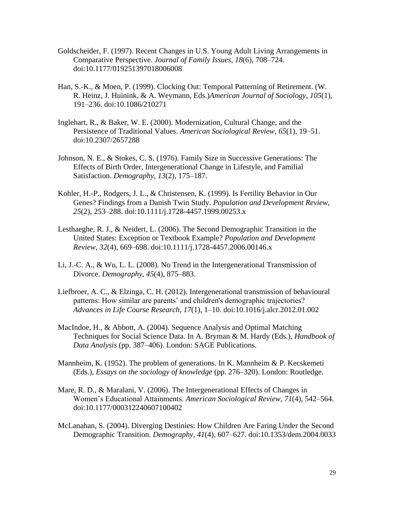- Goldscheider, F. (1997). Recent Changes in U.S. Young Adult Living Arrangements in Comparative Perspective. *Journal of Family Issues*, *18*(6), 708–724. doi:10.1177/019251397018006008
- Han, S.-K., & Moen, P. (1999). Clocking Out: Temporal Patterning of Retirement. (W. R. Heinz, J. Huinink, & A. Weymann, Eds.)*American Journal of Sociology*, *105*(1), 191–236. doi:10.1086/210271
- Inglehart, R., & Baker, W. E. (2000). Modernization, Cultural Change, and the Persistence of Traditional Values. *American Sociological Review*, *65*(1), 19–51. doi:10.2307/2657288
- Johnson, N. E., & Stokes, C. S. (1976). Family Size in Successive Generations: The Effects of Birth Order, Intergenerational Change in Lifestyle, and Familial Satisfaction. *Demography*, *13*(2), 175–187.
- Kohler, H.-P., Rodgers, J. L., & Christensen, K. (1999). Is Fertility Behavior in Our Genes? Findings from a Danish Twin Study. *Population and Development Review*, *25*(2), 253–288. doi:10.1111/j.1728-4457.1999.00253.x
- Lesthaeghe, R. J., & Neidert, L. (2006). The Second Demographic Transition in the United States: Exception or Textbook Example? *Population and Development Review*, *32*(4), 669–698. doi:10.1111/j.1728-4457.2006.00146.x
- Li, J.-C. A., & Wu, L. L. (2008). No Trend in the Intergenerational Transmission of Divorce. *Demography*, *45*(4), 875–883.
- Liefbroer, A. C., & Elzinga, C. H. (2012). Intergenerational transmission of behavioural patterns: How similar are parents' and children's demographic trajectories? *Advances in Life Course Research*, *17*(1), 1–10. doi:10.1016/j.alcr.2012.01.002
- MacIndoe, H., & Abbott, A. (2004). Sequence Analysis and Optimal Matching Techniques for Social Science Data. In A. Bryman & M. Hardy (Eds.), *Handbook of Data Analysis* (pp. 387–406). London: SAGE Publications.
- Mannheim, K. (1952). The problem of generations. In K. Mannheim & P. Kecskemeti (Eds.), *Essays on the sociology of knowledge* (pp. 276–320). London: Routledge.
- Mare, R. D., & Maralani, V. (2006). The Intergenerational Effects of Changes in Women's Educational Attainments. *American Sociological Review*, *71*(4), 542–564. doi:10.1177/000312240607100402
- McLanahan, S. (2004). Diverging Destinies: How Children Are Faring Under the Second Demographic Transition. *Demography*, *41*(4), 607–627. doi:10.1353/dem.2004.0033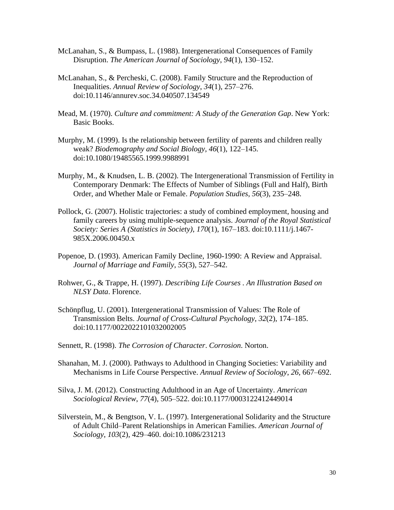- McLanahan, S., & Bumpass, L. (1988). Intergenerational Consequences of Family Disruption. *The American Journal of Sociology*, *94*(1), 130–152.
- McLanahan, S., & Percheski, C. (2008). Family Structure and the Reproduction of Inequalities. *Annual Review of Sociology*, *34*(1), 257–276. doi:10.1146/annurev.soc.34.040507.134549
- Mead, M. (1970). *Culture and commitment: A Study of the Generation Gap*. New York: Basic Books.
- Murphy, M. (1999). Is the relationship between fertility of parents and children really weak? *Biodemography and Social Biology*, *46*(1), 122–145. doi:10.1080/19485565.1999.9988991
- Murphy, M., & Knudsen, L. B. (2002). The Intergenerational Transmission of Fertility in Contemporary Denmark: The Effects of Number of Siblings (Full and Half), Birth Order, and Whether Male or Female. *Population Studies*, *56*(3), 235–248.
- Pollock, G. (2007). Holistic trajectories: a study of combined employment, housing and family careers by using multiple-sequence analysis. *Journal of the Royal Statistical Society: Series A (Statistics in Society)*, *170*(1), 167–183. doi:10.1111/j.1467- 985X.2006.00450.x
- Popenoe, D. (1993). American Family Decline, 1960-1990: A Review and Appraisal. *Journal of Marriage and Family*, *55*(3), 527–542.
- Rohwer, G., & Trappe, H. (1997). *Describing Life Courses . An Illustration Based on NLSY Data*. Florence.
- Schönpflug, U. (2001). Intergenerational Transmission of Values: The Role of Transmission Belts. *Journal of Cross-Cultural Psychology*, *32*(2), 174–185. doi:10.1177/0022022101032002005
- Sennett, R. (1998). *The Corrosion of Character*. *Corrosion*. Norton.
- Shanahan, M. J. (2000). Pathways to Adulthood in Changing Societies: Variability and Mechanisms in Life Course Perspective. *Annual Review of Sociology*, *26*, 667–692.
- Silva, J. M. (2012). Constructing Adulthood in an Age of Uncertainty. *American Sociological Review*, *77*(4), 505–522. doi:10.1177/0003122412449014
- Silverstein, M., & Bengtson, V. L. (1997). Intergenerational Solidarity and the Structure of Adult Child–Parent Relationships in American Families. *American Journal of Sociology*, *103*(2), 429–460. doi:10.1086/231213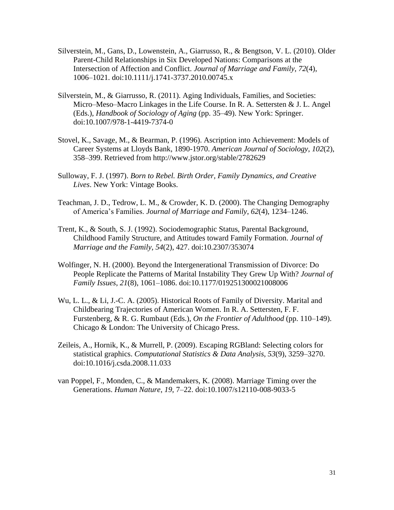- Silverstein, M., Gans, D., Lowenstein, A., Giarrusso, R., & Bengtson, V. L. (2010). Older Parent-Child Relationships in Six Developed Nations: Comparisons at the Intersection of Affection and Conflict. *Journal of Marriage and Family*, *72*(4), 1006–1021. doi:10.1111/j.1741-3737.2010.00745.x
- Silverstein, M., & Giarrusso, R. (2011). Aging Individuals, Families, and Societies: Micro–Meso–Macro Linkages in the Life Course. In R. A. Settersten & J. L. Angel (Eds.), *Handbook of Sociology of Aging* (pp. 35–49). New York: Springer. doi:10.1007/978-1-4419-7374-0
- Stovel, K., Savage, M., & Bearman, P. (1996). Ascription into Achievement: Models of Career Systems at Lloyds Bank, 1890-1970. *American Journal of Sociology*, *102*(2), 358–399. Retrieved from http://www.jstor.org/stable/2782629
- Sulloway, F. J. (1997). *Born to Rebel. Birth Order, Family Dynamics, and Creative Lives*. New York: Vintage Books.
- Teachman, J. D., Tedrow, L. M., & Crowder, K. D. (2000). The Changing Demography of America's Families. *Journal of Marriage and Family*, *62*(4), 1234–1246.
- Trent, K., & South, S. J. (1992). Sociodemographic Status, Parental Background, Childhood Family Structure, and Attitudes toward Family Formation. *Journal of Marriage and the Family*, *54*(2), 427. doi:10.2307/353074
- Wolfinger, N. H. (2000). Beyond the Intergenerational Transmission of Divorce: Do People Replicate the Patterns of Marital Instability They Grew Up With? *Journal of Family Issues*, *21*(8), 1061–1086. doi:10.1177/019251300021008006
- Wu, L. L., & Li, J.-C. A. (2005). Historical Roots of Family of Diversity. Marital and Childbearing Trajectories of American Women. In R. A. Settersten, F. F. Furstenberg, & R. G. Rumbaut (Eds.), *On the Frontier of Adulthood* (pp. 110–149). Chicago & London: The University of Chicago Press.
- Zeileis, A., Hornik, K., & Murrell, P. (2009). Escaping RGBland: Selecting colors for statistical graphics. *Computational Statistics & Data Analysis*, *53*(9), 3259–3270. doi:10.1016/j.csda.2008.11.033
- van Poppel, F., Monden, C., & Mandemakers, K. (2008). Marriage Timing over the Generations. *Human Nature*, *19*, 7–22. doi:10.1007/s12110-008-9033-5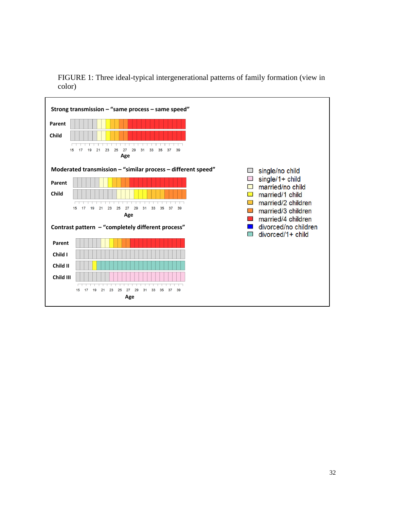

FIGURE 1: Three ideal-typical intergenerational patterns of family formation (view in color)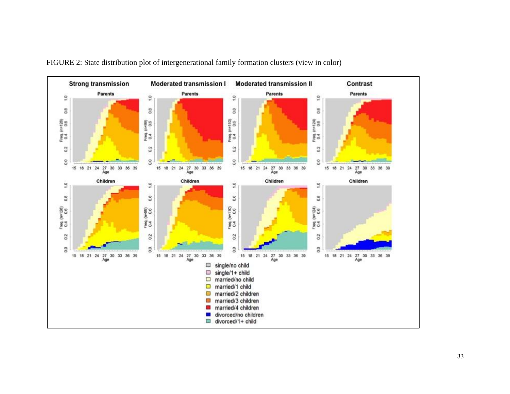

FIGURE 2: State distribution plot of intergenerational family formation clusters (view in color)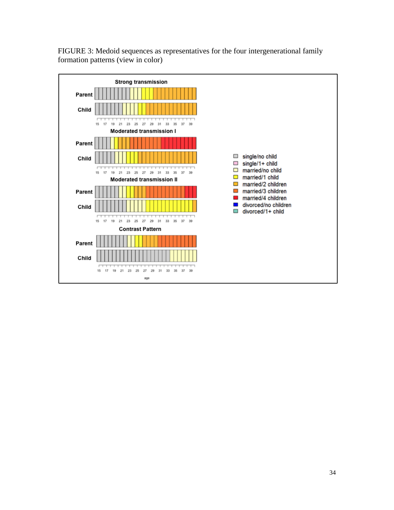

FIGURE 3: Medoid sequences as representatives for the four intergenerational family formation patterns (view in color)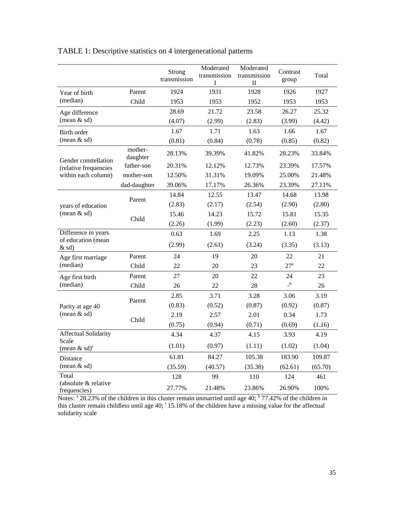|                                      |                     | Strong<br>transmission | Moderated<br>transmission<br>1 | Moderated<br>transmission<br>П | Contrast<br>group                       | Total   |
|--------------------------------------|---------------------|------------------------|--------------------------------|--------------------------------|-----------------------------------------|---------|
| Year of birth                        | Parent              | 1924                   | 1931                           | 1928                           | 1926                                    | 1927    |
| (median)                             | Child               | 1953                   | 1953                           | 1952                           | 1953                                    | 1953    |
| Age difference                       |                     | 28.69                  | 21.72                          | 23.58                          | 26.27                                   | 25.32   |
| (mean $&$ sd)                        |                     | (4.07)                 | (2.99)                         | (2.83)                         | (3.99)                                  | (4.42)  |
| Birth order                          |                     | 1.67                   | 1.71                           | 1.63                           | 1.66                                    | 1.67    |
| (mean $&$ sd)                        |                     | (0.81)                 | (0.84)                         | (0.78)                         | (0.85)                                  | (0.82)  |
| Gender constellation                 | mother-<br>daughter | 28.13%                 | 39.39%                         | 41.82%                         | 28.23%                                  | 33.84%  |
| (relative frequencies                | father-son          | 20.31%                 | 12.12%                         | 12.73%                         | 23.39%                                  | 17.57%  |
| within each column)                  | mother-son          | 12.50%                 | 31.31%                         | 19.09%                         | 25.00%                                  | 21.48%  |
|                                      | dad-daughter        | 39.06%                 | 17.17%                         | 26.36%                         | 23.39%                                  | 27.11%  |
|                                      | Parent              | 14.84                  | 12.55                          | 13.47                          | 14.68                                   | 13.98   |
| years of education                   |                     | (2.83)                 | (2.17)                         | (2.54)                         | (2.90)                                  | (2.80)  |
| (mean $&$ sd)                        | Child               | 15.46                  | 14.23                          | 15.72                          | 15.81                                   | 15.35   |
|                                      |                     | (2.26)                 | (1.99)                         | (2.23)                         | (2.60)                                  | (2.37)  |
| Difference in years                  |                     | 0.63                   | 1.69                           | 2.25                           | 1.13                                    | 1.38    |
| of education (mean<br>$&$ sd)        |                     | (2.99)                 | (2.61)                         | (3.24)                         | (3.35)                                  | (3.13)  |
| Age first marriage                   | Parent              | 24                     | 19                             | 20                             | 22                                      | 21      |
| (median)                             | Child               | 22                     | 20                             | 23                             | 27 <sup>a</sup>                         | 22      |
| Age first birth                      | Parent              | 27                     | 20                             | 22                             | 24                                      | 23      |
| (median)                             | Child               | 26                     | 22                             | 28                             | $\overline{\phantom{a}}^{\phantom{a}b}$ | 26      |
|                                      | Parent              | 2.85                   | 3.71                           | 3.28                           | 3.06                                    | 3.19    |
| Parity at age 40                     |                     | (0.83)                 | (0.52)                         | (0.87)                         | (0.92)                                  | (0.87)  |
| (mean $&$ sd)                        | Child               | 2.19                   | 2.57                           | 2.01                           | 0.34                                    | 1.73    |
|                                      |                     | (0.75)                 | (0.94)                         | (0.71)                         | (0.69)                                  | (1.16)  |
| Affectual Solidarity                 |                     | 4.34                   | 4.37                           | 4.15                           | 3.93                                    | 4.19    |
| Scale<br>(mean $&$ sd) <sup>c</sup>  |                     | (1.01)                 | (0.97)                         | (1.11)                         | (1.02)                                  | (1.04)  |
| Distance                             |                     | 61.81                  | 84.27                          | 105.38                         | 183.90                                  | 109.87  |
| (mean & sd)                          |                     | (35.59)                | (40.57)                        | (35.38)                        | (62.61)                                 | (65.70) |
| Total                                |                     | 128                    | 99                             | 110                            | 124                                     | 461     |
| (absolute & relative<br>frequencies) |                     | 27.77%                 | 21.48%                         | 23.86%                         | 26.90%                                  | 100%    |

## TABLE 1: Descriptive statistics on 4 intergenerational patterns

Notes: <sup>a</sup> 28.23% of the children in this cluster remain unmarried until age 40; <sup>b</sup> 77.42% of the children in this cluster remain childless until age 40;  $\degree$  15.18% of the children have a missing value for the affectual solidarity scale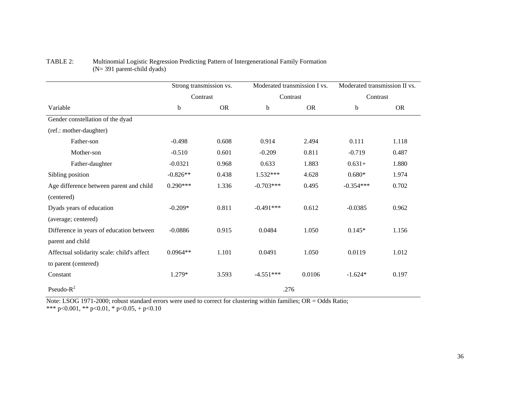|                                            | Strong transmission vs.<br>Contrast |           | Moderated transmission I vs. |           | Moderated transmission II vs.<br>Contrast |           |  |  |
|--------------------------------------------|-------------------------------------|-----------|------------------------------|-----------|-------------------------------------------|-----------|--|--|
|                                            |                                     |           | Contrast                     |           |                                           |           |  |  |
| Variable                                   | b                                   | <b>OR</b> | b                            | <b>OR</b> | b                                         | <b>OR</b> |  |  |
| Gender constellation of the dyad           |                                     |           |                              |           |                                           |           |  |  |
| (ref.: mother-daughter)                    |                                     |           |                              |           |                                           |           |  |  |
| Father-son                                 | $-0.498$                            | 0.608     | 0.914                        | 2.494     | 0.111                                     | 1.118     |  |  |
| Mother-son                                 | $-0.510$                            | 0.601     | $-0.209$                     | 0.811     | $-0.719$                                  | 0.487     |  |  |
| Father-daughter                            | $-0.0321$                           | 0.968     | 0.633                        | 1.883     | $0.631+$                                  | 1.880     |  |  |
| Sibling position                           | $-0.826**$                          | 0.438     | 1.532***                     | 4.628     | $0.680*$                                  | 1.974     |  |  |
| Age difference between parent and child    | $0.290***$                          | 1.336     | $-0.703***$                  | 0.495     | $-0.354***$                               | 0.702     |  |  |
| (centered)                                 |                                     |           |                              |           |                                           |           |  |  |
| Dyads years of education                   | $-0.209*$                           | 0.811     | $-0.491***$                  | 0.612     | $-0.0385$                                 | 0.962     |  |  |
| (average; centered)                        |                                     |           |                              |           |                                           |           |  |  |
| Difference in years of education between   | $-0.0886$                           | 0.915     | 0.0484                       | 1.050     | $0.145*$                                  | 1.156     |  |  |
| parent and child                           |                                     |           |                              |           |                                           |           |  |  |
| Affectual solidarity scale: child's affect | $0.0964**$                          | 1.101     | 0.0491                       | 1.050     | 0.0119                                    | 1.012     |  |  |
| to parent (centered)                       |                                     |           |                              |           |                                           |           |  |  |
| Constant                                   | 1.279*                              | 3.593     | $-4.551***$                  | 0.0106    | $-1.624*$                                 | 0.197     |  |  |
| Pseudo- $R^2$                              | .276                                |           |                              |           |                                           |           |  |  |

### TABLE 2: Multinomial Logistic Regression Predicting Pattern of Intergenerational Family Formation (N= 391 parent-child dyads)

Note: LSOG 1971-2000; robust standard errors were used to correct for clustering within families; OR = Odds Ratio; \*\*\* p<0.001, \*\* p<0.01, \* p<0.05, + p<0.10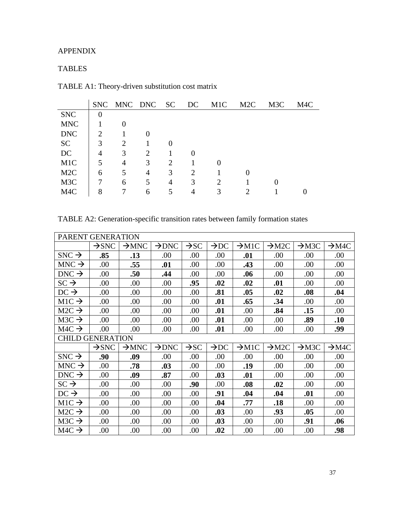### APPENDIX

### TABLES

| TABLE A1: Theory-driven substitution cost matrix |  |  |
|--------------------------------------------------|--|--|
|--------------------------------------------------|--|--|

|                  |          | SNC MNC DNC SC DC |                |   |   | M <sub>1</sub> C | M2C | M3C | M4C |
|------------------|----------|-------------------|----------------|---|---|------------------|-----|-----|-----|
| <b>SNC</b>       | $\theta$ |                   |                |   |   |                  |     |     |     |
| <b>MNC</b>       |          | $\theta$          |                |   |   |                  |     |     |     |
| <b>DNC</b>       | 2        |                   |                |   |   |                  |     |     |     |
| <b>SC</b>        | 3        | 2                 |                |   |   |                  |     |     |     |
| DC               | 4        | 3                 | 2              |   |   |                  |     |     |     |
| M <sub>1</sub> C | 5        | 4                 | 3              | 2 |   | $\theta$         |     |     |     |
| M <sub>2</sub> C | 6        | 5                 | $\overline{4}$ | 3 | 2 |                  |     |     |     |
| M <sub>3</sub> C |          | 6                 | 5              | 4 | 3 | 2                |     |     |     |
| M4C              | 8        |                   | 6              |   | 4 | 3                |     |     |     |

TABLE A2: Generation-specific transition rates between family formation states

| PARENT GENERATION       |                   |                   |                   |                  |                  |                   |                   |                   |                   |
|-------------------------|-------------------|-------------------|-------------------|------------------|------------------|-------------------|-------------------|-------------------|-------------------|
|                         | $\rightarrow$ SNC | $\rightarrow$ MNC | $\rightarrow$ DNC | $\rightarrow$ SC | $\rightarrow$ DC | $\rightarrow$ M1C | $\rightarrow$ M2C | $\rightarrow$ M3C | $\rightarrow$ M4C |
| $SNC \rightarrow$       | .85               | .13               | .00               | .00              | .00              | .01               | .00               | .00               | .00               |
| $MNC \rightarrow$       | .00               | .55               | .01               | .00              | .00              | .43               | .00               | .00               | .00               |
| $DNC \rightarrow$       | .00               | .50               | .44               | .00              | .00              | .06               | .00               | .00               | .00               |
| $SC \rightarrow$        | .00               | .00.              | .00               | .95              | .02              | .02               | .01               | .00               | .00               |
| $DC \rightarrow$        | .00               | .00.              | .00               | .00              | .81              | .05               | .02               | .08               | .04               |
| $M1C \rightarrow$       | .00               | .00               | .00               | .00              | .01              | .65               | .34               | .00               | .00               |
| $M2C \rightarrow$       | .00               | .00.              | .00               | .00              | .01              | .00               | .84               | .15               | .00               |
| $M3C \rightarrow$       | .00               | .00.              | .00               | .00              | .01              | .00               | .00               | .89               | .10               |
| $M4C \rightarrow$       | .00               | .00               | .00               | .00              | .01              | .00               | .00               | .00               | .99               |
| <b>CHILD GENERATION</b> |                   |                   |                   |                  |                  |                   |                   |                   |                   |
|                         | $\rightarrow$ SNC | $\rightarrow$ MNC | $\rightarrow$ DNC | $\rightarrow$ SC | $\rightarrow$ DC | $\rightarrow$ M1C | $\rightarrow$ M2C | $\rightarrow$ M3C | $\rightarrow$ M4C |
| $SNC \rightarrow$       | .90               | .09               | .00               | .00              | .00              | .00               | .00               | .00               | .00               |
| $MNC \rightarrow$       | .00               | .78               | .03               | .00              | .00              | .19               | .00               | .00               | .00               |
| $DNC \rightarrow$       | .00               | .09               | .87               | .00              | .03              | .01               | .00               | .00               | .00               |
| $SC \rightarrow$        | .00               | .00.              | .00.              | .90              | .00              | .08               | .02               | .00               | .00               |
| $DC \rightarrow$        | .00               | .00               | .00               | .00              | .91              | .04               | .04               | .01               | .00               |
| $M1C \rightarrow$       | .00               | .00               | .00               | .00              | .04              | .77               | .18               | .00               | .00               |
| $M2C \rightarrow$       | .00               | .00.              | .00               | .00              | .03              | .00               | .93               | .05               | .00               |
| $M3C \rightarrow$       | .00               | .00               | .00               | .00.             | .03              | .00               | .00               | .91               | .06               |
| $M4C \rightarrow$       | .00               | .00               | .00.              | .00.             | .02              | .00               | .00.              | .00               | .98               |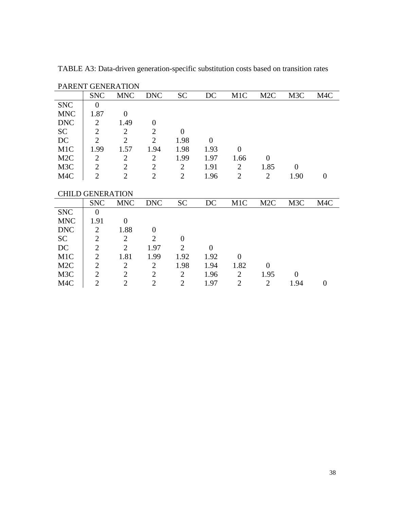| PARENT GENERATION |                         |                  |                |                |                |                |                  |                  |          |
|-------------------|-------------------------|------------------|----------------|----------------|----------------|----------------|------------------|------------------|----------|
|                   | <b>SNC</b>              | <b>MNC</b>       | <b>DNC</b>     | <b>SC</b>      | DC             | M1C            | M <sub>2</sub> C | M3C              | M4C      |
| <b>SNC</b>        | $\theta$                |                  |                |                |                |                |                  |                  |          |
| <b>MNC</b>        | 1.87                    | $\boldsymbol{0}$ |                |                |                |                |                  |                  |          |
| <b>DNC</b>        | $\overline{2}$          | 1.49             | $\theta$       |                |                |                |                  |                  |          |
| <b>SC</b>         | $\overline{2}$          | $\overline{2}$   | $\overline{2}$ | $\overline{0}$ |                |                |                  |                  |          |
| DC                | $\overline{2}$          | $\overline{2}$   | $\overline{2}$ | 1.98           | $\theta$       |                |                  |                  |          |
| M1C               | 1.99                    | 1.57             | 1.94           | 1.98           | 1.93           | $\overline{0}$ |                  |                  |          |
| M <sub>2</sub> C  | $\overline{2}$          | $\mathbf{2}$     | $\mathbf{2}$   | 1.99           | 1.97           | 1.66           | $\overline{0}$   |                  |          |
| M <sub>3</sub> C  | $\overline{2}$          | $\overline{2}$   | $\overline{2}$ | $\overline{2}$ | 1.91           | $\overline{2}$ | 1.85             | $\overline{0}$   |          |
| M4C               | $\overline{2}$          | $\overline{2}$   | $\overline{2}$ | $\overline{2}$ | 1.96           | $\overline{2}$ | $\overline{2}$   | 1.90             | $\theta$ |
|                   |                         |                  |                |                |                |                |                  |                  |          |
|                   | <b>CHILD GENERATION</b> |                  |                |                |                |                |                  |                  |          |
|                   | <b>SNC</b>              | <b>MNC</b>       | <b>DNC</b>     | <b>SC</b>      | DC             | M1C            | M <sub>2</sub> C | M <sub>3</sub> C | M4C      |
| <b>SNC</b>        | $\theta$                |                  |                |                |                |                |                  |                  |          |
| <b>MNC</b>        | 1.91                    | $\overline{0}$   |                |                |                |                |                  |                  |          |
| <b>DNC</b>        | $\overline{2}$          | 1.88             | $\theta$       |                |                |                |                  |                  |          |
| <b>SC</b>         | $\overline{2}$          | $\overline{2}$   | $\overline{2}$ | $\theta$       |                |                |                  |                  |          |
| DC                | $\overline{2}$          | $\overline{2}$   | 1.97           | $\overline{2}$ | $\overline{0}$ |                |                  |                  |          |
| M1C               | $\overline{2}$          | 1.81             | 1.99           | 1.92           | 1.92           | $\theta$       |                  |                  |          |
| M <sub>2</sub> C  | $\overline{2}$          | $\overline{2}$   | $\overline{2}$ | 1.98           | 1.94           | 1.82           | $\overline{0}$   |                  |          |
| M3C               | $\overline{2}$          | $\overline{2}$   | $\mathbf{2}$   | $\overline{2}$ | 1.96           | $\overline{2}$ | 1.95             | $\boldsymbol{0}$ |          |
| M <sub>4</sub> C  |                         | $\overline{2}$   | $\overline{2}$ | $\overline{2}$ |                | $\overline{2}$ | $\overline{2}$   |                  |          |

TABLE A3: Data-driven generation-specific substitution costs based on transition rates